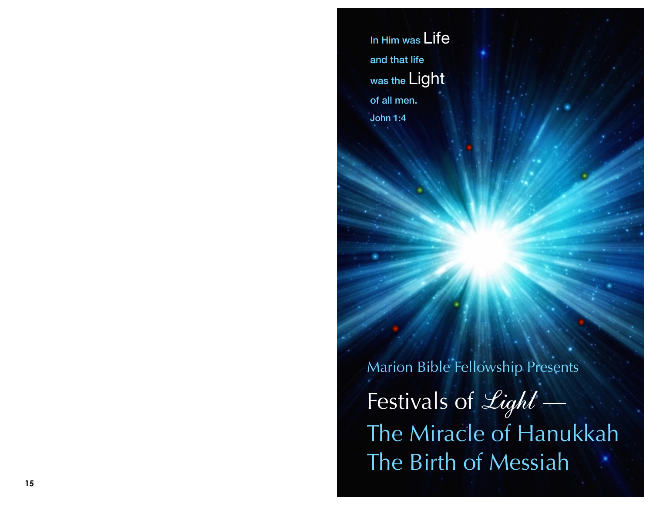In Him was Life and that life was the Light of all men. John 1:4

Marion Bible Fellowship Presents Festivals of Light -The Miracle of Hanukkah The Birth of Messiah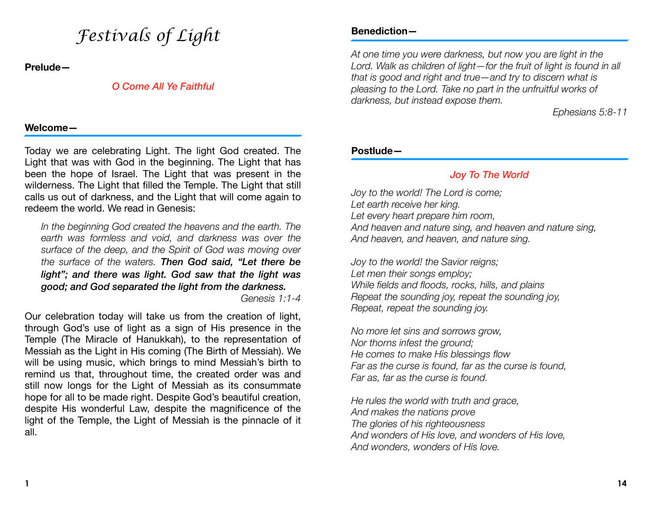*Festivals of Light* 

**Prelude—** 

#### *O Come All Ye Faithful*

#### **Welcome—**

Today we are celebrating Light. The light God created. The Light that was with God in the beginning. The Light that has been the hope of Israel. The Light that was present in the wilderness. The Light that filled the Temple. The Light that still calls us out of darkness, and the Light that will come again to redeem the world. We read in Genesis:

*In the beginning God created the heavens and the earth. The earth was formless and void, and darkness was over the surface of the deep, and the Spirit of God was moving over the surface of the waters. Then God said, "Let there be light"; and there was light. God saw that the light was good; and God separated the light from the darkness. Genesis 1:1-4* 

Our celebration today will take us from the creation of light, through God's use of light as a sign of His presence in the Temple (The Miracle of Hanukkah), to the representation of Messiah as the Light in His coming (The Birth of Messiah). We will be using music, which brings to mind Messiah's birth to remind us that, throughout time, the created order was and still now longs for the Light of Messiah as its consummate hope for all to be made right. Despite God's beautiful creation, despite His wonderful Law, despite the magnificence of the light of the Temple, the Light of Messiah is the pinnacle of it all.

## **Benediction—**

*At one time you were darkness, but now you are light in the Lord. Walk as children of light—for the fruit of light is found in all that is good and right and true—and try to discern what is pleasing to the Lord. Take no part in the unfruitful works of darkness, but instead expose them.* 

*Ephesians 5:8-11* 

#### **Postlude—**

## *Joy To The World*

*Joy to the world! The Lord is come; Let earth receive her king. Let every heart prepare him room, And heaven and nature sing, and heaven and nature sing, And heaven, and heaven, and nature sing.* 

*Joy to the world! the Savior reigns; Let men their songs employ; While fields and floods, rocks, hills, and plains Repeat the sounding joy, repeat the sounding joy, Repeat, repeat the sounding joy.* 

*No more let sins and sorrows grow, Nor thorns infest the ground; He comes to make His blessings flow Far as the curse is found, far as the curse is found, Far as, far as the curse is found.* 

*He rules the world with truth and grace, And makes the nations prove The glories of his righteousness And wonders of His love, and wonders of His love, And wonders, wonders of His love.*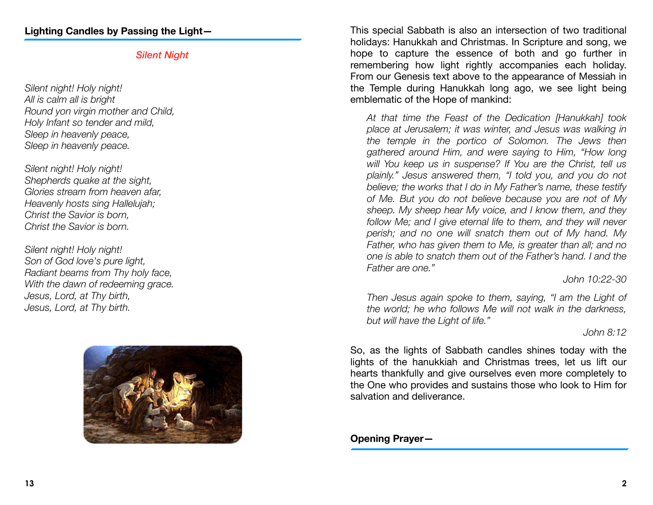# **Lighting Candles by Passing the Light—**

# *Silent Night*

*Silent night! Holy night! All is calm all is bright Round yon virgin mother and Child, Holy Infant so tender and mild, Sleep in heavenly peace, Sleep in heavenly peace.* 

*Silent night! Holy night! Shepherds quake at the sight, Glories stream from heaven afar, Heavenly hosts sing Hallelujah; Christ the Savior is born, Christ the Savior is born.* 

*Silent night! Holy night! Son of God love's pure light, Radiant beams from Thy holy face, With the dawn of redeeming grace. Jesus, Lord, at Thy birth, Jesus, Lord, at Thy birth.* 



This special Sabbath is also an intersection of two traditional holidays: Hanukkah and Christmas. In Scripture and song, we hope to capture the essence of both and go further in remembering how light rightly accompanies each holiday. From our Genesis text above to the appearance of Messiah in the Temple during Hanukkah long ago, we see light being emblematic of the Hope of mankind:

*At that time the Feast of the Dedication [Hanukkah] took place at Jerusalem; it was winter, and Jesus was walking in the temple in the portico of Solomon. The Jews then gathered around Him, and were saying to Him, "How long will You keep us in suspense? If You are the Christ, tell us plainly." Jesus answered them, "I told you, and you do not believe; the works that I do in My Father's name, these testify of Me. But you do not believe because you are not of My sheep. My sheep hear My voice, and I know them, and they follow Me; and I give eternal life to them, and they will never perish; and no one will snatch them out of My hand. My Father, who has given them to Me, is greater than all; and no one is able to snatch them out of the Father's hand. I and the Father are one."* 

## *John 10:22-30*

*Then Jesus again spoke to them, saying, "I am the Light of the world; he who follows Me will not walk in the darkness, but will have the Light of life."* 

# *John 8:12*

So, as the lights of Sabbath candles shines today with the lights of the hanukkiah and Christmas trees, let us lift our hearts thankfully and give ourselves even more completely to the One who provides and sustains those who look to Him for salvation and deliverance.

# **Opening Prayer—**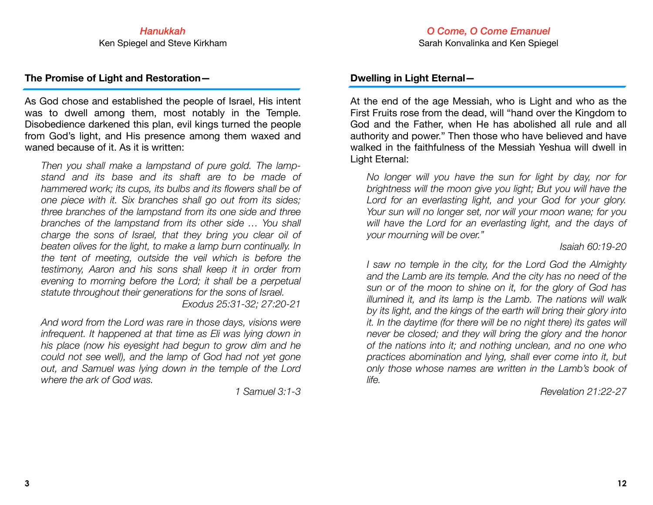### *Hanukkah*

Ken Spiegel and Steve Kirkham

# *O Come, O Come Emanuel*

Sarah Konvalinka and Ken Spiegel

## **The Promise of Light and Restoration—**

As God chose and established the people of Israel, His intent was to dwell among them, most notably in the Temple. Disobedience darkened this plan, evil kings turned the people from God's light, and His presence among them waxed and waned because of it. As it is written:

*Then you shall make a lampstand of pure gold. The lampstand and its base and its shaft are to be made of hammered work; its cups, its bulbs and its flowers shall be of one piece with it. Six branches shall go out from its sides; three branches of the lampstand from its one side and three branches of the lampstand from its other side … You shall charge the sons of Israel, that they bring you clear oil of beaten olives for the light, to make a lamp burn continually. In the tent of meeting, outside the veil which is before the testimony, Aaron and his sons shall keep it in order from evening to morning before the Lord; it shall be a perpetual statute throughout their generations for the sons of Israel. Exodus 25:31-32; 27:20-21* 

*And word from the Lord was rare in those days, visions were infrequent. It happened at that time as Eli was lying down in his place (now his eyesight had begun to grow dim and he could not see well), and the lamp of God had not yet gone out, and Samuel was lying down in the temple of the Lord where the ark of God was.* 

*1 Samuel 3:1-3*

#### **Dwelling in Light Eternal—**

At the end of the age Messiah, who is Light and who as the First Fruits rose from the dead, will "hand over the Kingdom to God and the Father, when He has abolished all rule and all authority and power." Then those who have believed and have walked in the faithfulness of the Messiah Yeshua will dwell in Light Eternal:

*No longer will you have the sun for light by day, nor for brightness will the moon give you light; But you will have the Lord for an everlasting light, and your God for your glory. Your sun will no longer set, nor will your moon wane; for you will have the Lord for an everlasting light, and the days of your mourning will be over."* 

#### *Isaiah 60:19-20*

*I saw no temple in the city, for the Lord God the Almighty and the Lamb are its temple. And the city has no need of the sun or of the moon to shine on it, for the glory of God has illumined it, and its lamp is the Lamb. The nations will walk by its light, and the kings of the earth will bring their glory into it. In the daytime (for there will be no night there) its gates will never be closed; and they will bring the glory and the honor of the nations into it; and nothing unclean, and no one who practices abomination and lying, shall ever come into it, but only those whose names are written in the Lamb's book of life.* 

*Revelation 21:22-27*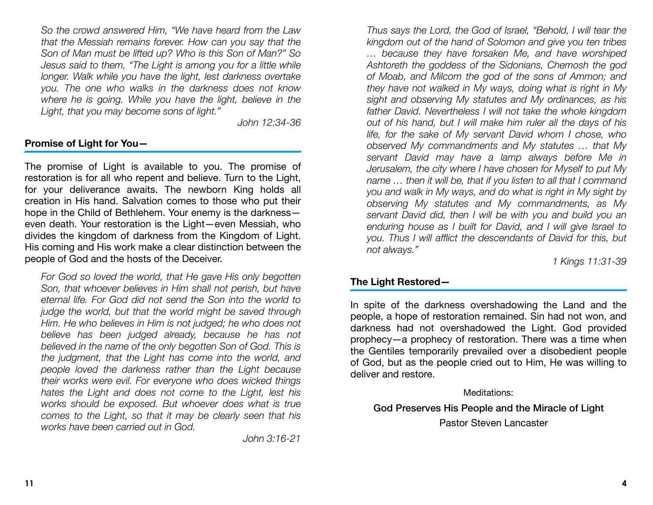*So the crowd answered Him, "We have heard from the Law that the Messiah remains forever. How can you say that the Son of Man must be lifted up? Who is this Son of Man?" So Jesus said to them, "The Light is among you for a little while longer. Walk while you have the light, lest darkness overtake you. The one who walks in the darkness does not know where he is going. While you have the light, believe in the Light, that you may become sons of light."* 

*John 12:34-36* 

## **Promise of Light for You—**

The promise of Light is available to you. The promise of restoration is for all who repent and believe. Turn to the Light, for your deliverance awaits. The newborn King holds all creation in His hand. Salvation comes to those who put their hope in the Child of Bethlehem. Your enemy is the darkness even death. Your restoration is the Light—even Messiah, who divides the kingdom of darkness from the Kingdom of Light. His coming and His work make a clear distinction between the people of God and the hosts of the Deceiver.

*For God so loved the world, that He gave His only begotten Son, that whoever believes in Him shall not perish, but have eternal life. For God did not send the Son into the world to judge the world, but that the world might be saved through Him. He who believes in Him is not judged; he who does not believe has been judged already, because he has not believed in the name of the only begotten Son of God. This is the judgment, that the Light has come into the world, and people loved the darkness rather than the Light because their works were evil. For everyone who does wicked things hates the Light and does not come to the Light, lest his works should be exposed. But whoever does what is true comes to the Light, so that it may be clearly seen that his works have been carried out in God.* 

*John 3:16-21*

*Thus says the Lord, the God of Israel, "Behold, I will tear the kingdom out of the hand of Solomon and give you ten tribes … because they have forsaken Me, and have worshiped Ashtoreth the goddess of the Sidonians, Chemosh the god of Moab, and Milcom the god of the sons of Ammon; and they have not walked in My ways, doing what is right in My sight and observing My statutes and My ordinances, as his father David. Nevertheless I will not take the whole kingdom out of his hand, but I will make him ruler all the days of his life, for the sake of My servant David whom I chose, who observed My commandments and My statutes … that My servant David may have a lamp always before Me in Jerusalem, the city where I have chosen for Myself to put My name … then it will be, that if you listen to all that I command you and walk in My ways, and do what is right in My sight by observing My statutes and My commandments, as My servant David did, then I will be with you and build you an enduring house as I built for David, and I will give Israel to you. Thus I will afflict the descendants of David for this, but not always."* 

*1 Kings 11:31-39* 

## **The Light Restored—**

In spite of the darkness overshadowing the Land and the people, a hope of restoration remained. Sin had not won, and darkness had not overshadowed the Light. God provided prophecy—a prophecy of restoration. There was a time when the Gentiles temporarily prevailed over a disobedient people of God, but as the people cried out to Him, He was willing to deliver and restore.

Meditations:

God Preserves His People and the Miracle of Light Pastor Steven Lancaster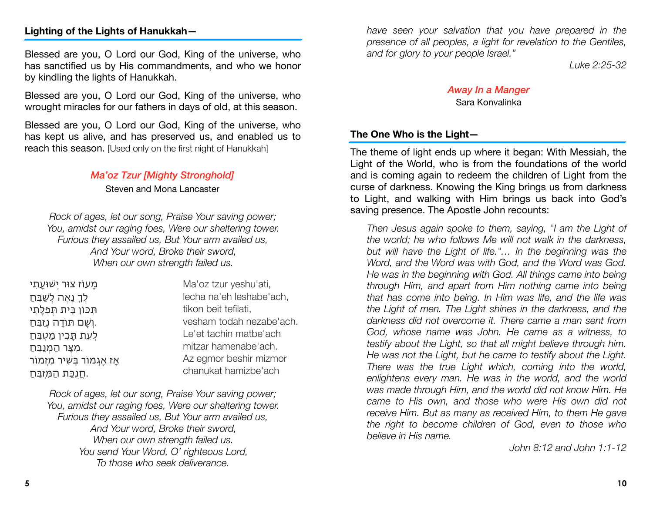## **Lighting of the Lights of Hanukkah—**

Blessed are you, O Lord our God, King of the universe, who has sanctified us by His commandments, and who we honor by kindling the lights of Hanukkah.

Blessed are you, O Lord our God, King of the universe, who wrought miracles for our fathers in days of old, at this season.

Blessed are you, O Lord our God, King of the universe, who has kept us alive, and has preserved us, and enabled us to reach this season. [Used only on the first night of Hanukkah]

# *Ma'oz Tzur [Mighty Stronghold]*  Steven and Mona Lancaster

*Rock of ages, let our song, Praise Your saving power; You, amidst our raging foes, Were our sheltering tower. Furious they assailed us, But Your arm availed us, And Your word, Broke their sword, When our own strength failed us.*

| Ma'oz tzur yeshu'ati,    |
|--------------------------|
| lecha na'eh leshabe'ach, |
| tikon beit tefilati,     |
| vesham todah nezabe'ach. |
| Le'et tachin matbe'ach   |
| mitzar hamenabe'ach.     |
| Az egmor beshir mizmor   |
| chanukat hamizbe'ach     |
|                          |

*Rock of ages, let our song, Praise Your saving power; You, amidst our raging foes, Were our sheltering tower. Furious they assailed us, But Your arm availed us, And Your word, Broke their sword, When our own strength failed us. You send Your Word, O' righteous Lord, To those who seek deliverance.* 

*have seen your salvation that you have prepared in the presence of all peoples, a light for revelation to the Gentiles, and for glory to your people Israel."* 

*Luke 2:25-32*

### *Away In a Manger*  Sara Konvalinka

## **The One Who is the Light—**

The theme of light ends up where it began: With Messiah, the Light of the World, who is from the foundations of the world and is coming again to redeem the children of Light from the curse of darkness. Knowing the King brings us from darkness to Light, and walking with Him brings us back into God's saving presence. The Apostle John recounts:

*Then Jesus again spoke to them, saying, "I am the Light of the world; he who follows Me will not walk in the darkness,*  but will have the Light of life."... In the beginning was the *Word, and the Word was with God, and the Word was God. He was in the beginning with God. All things came into being through Him, and apart from Him nothing came into being that has come into being. In Him was life, and the life was the Light of men. The Light shines in the darkness, and the darkness did not overcome it. There came a man sent from God, whose name was John. He came as a witness, to testify about the Light, so that all might believe through him. He was not the Light, but he came to testify about the Light. There was the true Light which, coming into the world, enlightens every man. He was in the world, and the world was made through Him, and the world did not know Him. He came to His own, and those who were His own did not receive Him. But as many as received Him, to them He gave the right to become children of God, even to those who believe in His name.* 

*John 8:12 and John 1:1-12*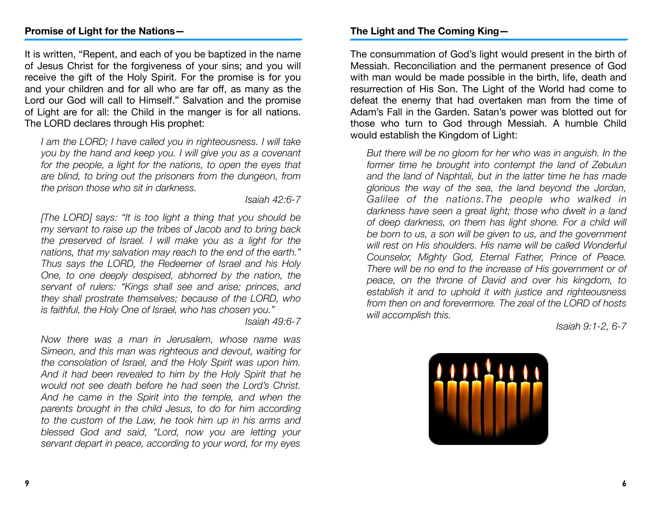## **Promise of Light for the Nations—**

It is written, "Repent, and each of you be baptized in the name of Jesus Christ for the forgiveness of your sins; and you will receive the gift of the Holy Spirit. For the promise is for you and your children and for all who are far off, as many as the Lord our God will call to Himself." Salvation and the promise of Light are for all: the Child in the manger is for all nations. The LORD declares through His prophet:

*I am the LORD; I have called you in righteousness. I will take you by the hand and keep you. I will give you as a covenant for the people, a light for the nations, to open the eyes that are blind, to bring out the prisoners from the dungeon, from the prison those who sit in darkness.* 

*Isaiah 42:6-7* 

*[The LORD] says: "It is too light a thing that you should be my servant to raise up the tribes of Jacob and to bring back the preserved of Israel. I will make you as a light for the nations, that my salvation may reach to the end of the earth." Thus says the LORD, the Redeemer of Israel and his Holy One, to one deeply despised, abhorred by the nation, the servant of rulers: "Kings shall see and arise; princes, and they shall prostrate themselves; because of the LORD, who is faithful, the Holy One of Israel, who has chosen you."* 

*Isaiah 49:6-7* 

*Now there was a man in Jerusalem, whose name was Simeon, and this man was righteous and devout, waiting for the consolation of Israel, and the Holy Spirit was upon him. And it had been revealed to him by the Holy Spirit that he would not see death before he had seen the Lord's Christ. And he came in the Spirit into the temple, and when the parents brought in the child Jesus, to do for him according to the custom of the Law, he took him up in his arms and blessed God and said, "Lord, now you are letting your servant depart in peace, according to your word, for my eyes*

## **The Light and The Coming King—**

The consummation of God's light would present in the birth of Messiah. Reconciliation and the permanent presence of God with man would be made possible in the birth, life, death and resurrection of His Son. The Light of the World had come to defeat the enemy that had overtaken man from the time of Adam's Fall in the Garden. Satan's power was blotted out for those who turn to God through Messiah. A humble Child would establish the Kingdom of Light:

*But there will be no gloom for her who was in anguish. In the former time he brought into contempt the land of Zebulun and the land of Naphtali, but in the latter time he has made glorious the way of the sea, the land beyond the Jordan, Galilee of the nations.The people who walked in darkness have seen a great light; those who dwelt in a land of deep darkness, on them has light shone. For a child will be born to us, a son will be given to us, and the government will rest on His shoulders. His name will be called Wonderful Counselor, Mighty God, Eternal Father, Prince of Peace. There will be no end to the increase of His government or of peace, on the throne of David and over his kingdom, to establish it and to uphold it with justice and righteousness from then on and forevermore. The zeal of the LORD of hosts will accomplish this.* 

*Isaiah 9:1-2, 6-7*